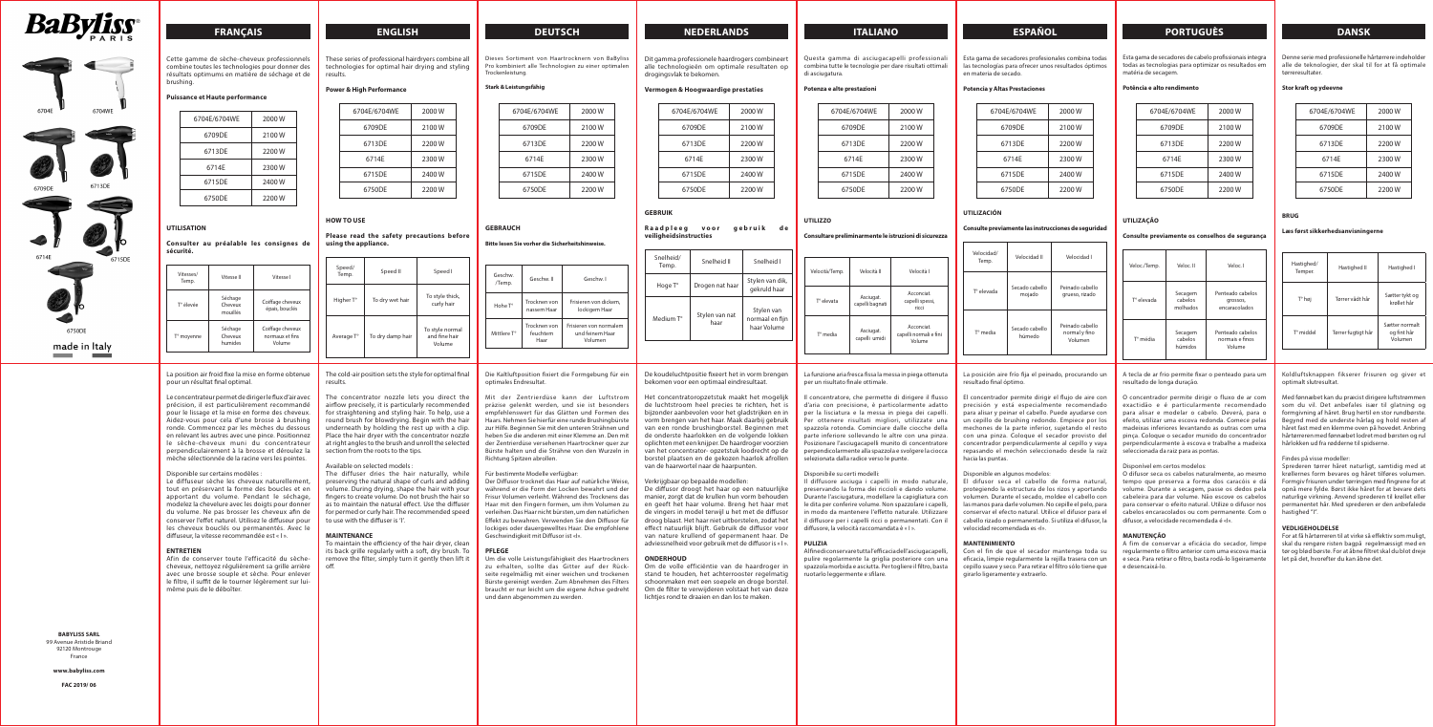





6750DF

made in Italy

# **FRANÇAIS ENGLISH DEUTSCH NEDERLANDS ITALIANO ESPAÑOL PORTUGUÈS DANSK**

Cette gamme de sèche-cheveux professionnels combine toutes les technologies pour donner des résultats optimums en matière de séchage et de brushing.

## **Puissance et Haute performance**

| 6704E/6704WE | 2000 W |
|--------------|--------|
| 6709DE       | 2100 W |
| 6713DE       | 2200 W |
| 6714F        | 2300W  |
| 6715DE       | 2400 W |
| 6750DE       | 2200 W |

## **UTILISATION**

#### **Consulter au préalable les consignes de sécurité.**

| Vitesses/<br>Temp. | Vitesse II                     | Vitesse I                                     |
|--------------------|--------------------------------|-----------------------------------------------|
| T° élevée          | Séchage<br>Cheveux<br>mouillés | Coiffage cheveux<br>épais, bouclés            |
| T° moyenne         | Séchage<br>Cheveux<br>humides  | Coiffage cheveux<br>normaux et fins<br>Volume |

La position air froid fixe la mise en forme obtenue pour un résultat final optimal.

Le concentrateur permet de diriger le flux d'air avec précision, il est particulièrement recommandé pour le lissage et la mise en forme des cheveux. Aidez-vous pour cela d'une brosse à brushing ronde. Commencez par les mèches du dessous en relevant les autres avec une pince. Positionnez le sèche-cheveux muni du concentrateur perpendiculairement à la brosse et déroulez la mèche sélectionnée de la racine vers les pointes.

#### Disponible sur certains modèles :

Le diffuseur sèche les cheveux naturellement, tout en préservant la forme des boucles et en apportant du volume. Pendant le séchage, modelez la chevelure avec les doigts pour donner du volume. Ne pas brosser les cheveux afin de conserver l'effet naturel. Utilisez le diffuseur pour les cheveux bouclés ou permanentés. Avec le diffuseur, la vitesse recommandée est « I ».

### **ENTRETIEN**

Afin de conserver toute l'efficacité du sèchecheveux, nettoyez régulièrement sa grille arrière avec une brosse souple et sèche. Pour enlever le filtre, il suffit de le tourner légèrement sur luimême puis de le déboîter.

These series of professional hairdryers combine all technologies for optimal hair drying and styling results.

## **Power & High Performance**

| 6704E/6704WE | 2000 W |
|--------------|--------|
| 6709DE       | 2100W  |
| 6713DE       | 2200 W |
| 6714E        | 2300W  |
| 6715DE       | 2400 W |
| 6750DE       | 2200 W |

## **HOW TO USE**

## **Please read the safety precautions before using the appliance.**

| Speed/<br>Temp. | Speed II         | Speed I                                    |
|-----------------|------------------|--------------------------------------------|
| Higher T°       | To dry wet hair  | To style thick,<br>curly hair              |
| Average T°      | To dry damp hair | To style normal<br>and fine hair<br>Volume |

Mit der Zentrierdüse kann der Luftstrom präzise gelenkt werden, und sie ist besonders empfehlenswert für das Glätten und Formen des Haars. Nehmen Sie hierfür eine runde Brushingbürste zur Hilfe. Beginnen Sie mit den unteren Strähnen und heben Sie die anderen mit einer Klemme an. Den mit der Zentrierdüse versehenen Haartrockner quer zur Bürste halten und die Strähne von den Wurzeln in Richtung Spitzen abrollen.

The cold-air position sets the style for optimal final results.

The concentrator nozzle lets you direct the airflow precisely, it is particularly recommended for straightening and styling hair. To help, use a round brush for blowdrying. Begin with the hair underneath by holding the rest up with a clip. Place the hair dryer with the concentrator nozzle at right angles to the brush and unroll the selected section from the roots to the tips.

## **Raadpleeg voor gebruik de veiligheidsinstructies**

## Available on selected models :

The diffuser dries the hair naturally, while preserving the natural shape of curls and adding volume. During drying, shape the hair with your fingers to create volume. Do not brush the hair so as to maintain the natural effect. Use the diffuser for permed or curly hair. The recommended speed to use with the diffuser is 'I'.

## **MAINTENANCE**

To maintain the efficiency of the hair dryer, clean its back grille regularly with a soft, dry brush. To remove the filter, simply turn it gently then lift it off.

**BABYLISS SARL** 99 Avenue Aristide Briand 92120 Montrouge France

Om de volle efficiëntie van de haardroger in stand te houden, het achterrooster regelmatig schoonmaken met een soepele en droge borstel. Om de filter te verwijderen volstaat het van deze lichties rond te draaien en dan los te maken.

**www.babyliss.com**

**FAC 2019/ 06**

Dieses Sortiment von Haartrocknern von BaByliss Pro kombiniert alle Technologien zu einer optimalen Trockenleistung.

## **Stark & Leistungsfähig**

| 6704E/6704WE | 2000 W |
|--------------|--------|
| 6709DE       | 2100 W |
| 6713DE       | 2200 W |
| 6714F        | 2300 W |
| 6715DE       | 2400 W |
| 6750DE       | 2200 W |

## **GEBRAUCH**

### **Bitte lesen Sie vorher die Sicherheitshinweise.**

| Geschw<br>/Temp. | Geschw II                        | Geschw I                                             |
|------------------|----------------------------------|------------------------------------------------------|
| Hohe T°          | Trocknen von<br>nassem Haar      | Frisieren von dickem,<br>lockigem Haar               |
| Mittlere T°      | Trocknen von<br>feuchtem<br>Haar | Frisieren von normalem<br>und feinem Haar<br>Volumen |

Die Kaltluftposition fixiert die Formgebung für ein optimales Endresultat.

## Für bestimmte Modelle verfügbar:

Der Diffusor trocknet das Haar auf natürliche Weise, während er die Form der Locken bewahrt und der Frisur Volumen verleiht. Während des Trocknens das Haar mit den Fingern formen, um ihm Volumen zu verleihen. Das Haar nicht bürsten, um den natürlichen Effekt zu bewahren. Verwenden Sie den Diffusor für lockiges oder dauergewelltes Haar. Die empfohlene Geschwindigkeit mit Diffusor ist «I».

#### **PFLEGE**

Um die volle Leistungsfähigkeit des Haartrockners zu erhalten, sollte das Gitter auf der Rückseite regelmäßig mit einer weichen und trockenen Bürste gereinigt werden. Zum Abnehmen des Filters braucht er nur leicht um die eigene Achse gedreht und dann abgenommen zu werden.

Dit gamma professionele haardrogers combineert alle technologieën om optimale resultaten op drogingsvlak te bekomen.

#### **Vermogen & Hoogwaardige prestaties**

| 6704E/6704WE | 2000 W |
|--------------|--------|
| 6709DE       | 2100 W |
| 6713DF       | 2200 W |
| 6714F        | 2300 W |
| 6715DF       | 2400 W |
| 6750DF       | 2200 W |

## **GEBRUIK**

| Snelheid/<br>Temp. | Snelheid II            | Snelheid I                                   |
|--------------------|------------------------|----------------------------------------------|
| Hoge T°            | Drogen nat haar        | Stylen van dik,<br>gekruld haar              |
| Medium T°          | Stylen van nat<br>haar | Stylen van<br>normaal en fijn<br>haar Volume |

De koudeluchtpositie fixeert het in vorm brengen bekomen voor een optimaal eindresultaat.

Het concentratoropzetstuk maakt het mogelijk de luchtstroom heel precies te richten, het is bijzonder aanbevolen voor het gladstrijken en in vorm brengen van het haar. Maak daarbij gebruik van een ronde brushingborstel. Beginnen met de onderste haarlokken en de volgende lokken oplichten met een knijper. De haardroger voorzien van het concentrator- opzetstuk loodrecht op de borstel plaatsen en de gekozen haarlok afrollen van de haarwortel naar de haarpunten.

## Verkrijgbaar op bepaalde modellen:

De diffusor droogt het haar op een natuurlijke manier, zorgt dat de krullen hun vorm behouden en geeft het haar volume. Breng het haar met de vingers in model terwijl u het met de diffusor droog blaast. Het haar niet uitborstelen, zodat het effect natuurlijk blijft. Gebruik de diffusor voor van nature krullend of gepermanent haar. De adviessnelheid voor gebruik met de diffusor is « I ».

#### **ONDERHOUD**

Questa gamma di asciugacapelli professionali combina tutte le tecnologie per dare risultati ottimali di asciugatura.

### **Potenza e alte prestazioni**

| 6704E/6704WE | 2000W  |
|--------------|--------|
| 6709DE       | 2100W  |
| 6713DE       | 2200 W |
| 6714E        | 2300W  |
| 6715DE       | 2400 W |
| 6750DE       | 2200 W |

| 6704E/6704WE | 2000 W |
|--------------|--------|
| 6709DE       | 2100W  |
| 6713DE       | 2200 W |
| 6714E        | 2300W  |
| 6715DE       | 2400 W |
| 6750DE       | 2200 W |

### **UTILIZZO**

## **Consultare preliminarmente le istruzioni di sicurezza**

| d l           | Velocità/Temp. | Velocità II                | Velocità I                                     |
|---------------|----------------|----------------------------|------------------------------------------------|
| dik, ו        |                |                            |                                                |
| าaar          |                | Asciugat.                  | Acconciat.                                     |
| 'an           | T° elevata     | capelli bagnati            | capelli spessi,<br>ricci                       |
| n fijn<br>ıme | T° media       | Asciugat.<br>capelli umidi | Acconciat.<br>capelli normali e fini<br>Volume |
|               |                |                            |                                                |

#### La funzione aria fresca fissa la messa in piega ottenuta per un risultato finale ottimale.

Il concentratore, che permette di dirigere il flusso d'aria con precisione, è particolarmente adatto per la lisciatura e la messa in piega dei capelli. Per ottenere risultati migliori, utilizzate una spazzola rotonda. Cominciare dalle ciocche della parte inferiore sollevando le altre con una pinza. Posizionare l'asciugacapelli munito di concentratore perpendicolarmente alla spazzola e svolgere la ciocca selezionata dalla radice verso le punte.

#### Disponibile su certi modelli:

Il diffusore asciuga i capelli in modo naturale, preservando la forma dei riccioli e dando volume. Durante l'asciugatura, modellare la capigliatura con le dita per conferire volume. Non spazzolare i capelli, in modo da mantenere l'effetto naturale. Utilizzare il diffusore per i capelli ricci o permanentati. Con il diffusore, la velocità raccomandata è « I ».

### **PULIZIA**

Al fine di conservare tutta l'efficacia dell'asciugacapelli, pulire regolarmente la griglia posteriore con una spazzola morbida e asciutta. Per togliere il filtro, basta ruotarlo leggermente e sfilare.

Esta gama de secadores profesionales combina todas las tecnologías para ofrecer unos resultados óptimos en materia de secado.

## **Potencia y Altas Prestaciones**

| 6704E/6704WE | 2000 W |
|--------------|--------|
| 6709DE       | 2100W  |
| 6713DE       | 2200 W |
| 6714E        | 2300W  |
| 6715DE       | 2400 W |
| 6750DE       | 2200 W |
|              |        |

## **UTILIZACIÓN**

## **Consulte previamente las instrucciones de seguridad**

| Velocidad/<br>Temp. | Velocidad II             | Velocidad I                                 |
|---------------------|--------------------------|---------------------------------------------|
| Tº elevada          | Secado cabello<br>mojado | Peinado cabello<br>grueso, rizado           |
| T° media            | Secado cabello<br>húmedo | Peinado cabello<br>normal y fino<br>Volumen |

La posición aire frío fija el peinado, procurando un resultado final óptimo.

El concentrador permite dirigir el flujo de aire con precisión y está especialmente recomendado para alisar y peinar el cabello. Puede ayudarse con un cepillo de brushing redondo. Empiece por los mechones de la parte inferior, sujetando el resto con una pinza. Coloque el secador provisto del concentrador perpendicularmente al cepillo y vaya repasando el mechón seleccionado desde la raíz hacia las puntas.

#### Disponible en algunos modelos:

El difusor seca el cabello de forma natural, protegiendo la estructura de los rizos y aportando volumen. Durante el secado, moldee el cabello con las manos para darle volumen. No cepille el pelo, para conservar el efecto natural. Utilice el difusor para el cabello rizado o permanentado. Si utiliza el difusor, la velocidad recomendada es «I».

## **MANTENIMIENTO**

Con el fin de que el secador mantenga toda su eficacia, limpie regularmente la rejilla trasera con un cepillo suave y seco. Para retirar el filtro sólo tiene que girarlo ligeramente y extraerlo.

Esta gama de secadores de cabelo profissionais integra todas as tecnologias para optimizar os resultados em matéria de secagem.

#### **Potência e alto rendimento**

| 6704E/6704WE | 2000 W |
|--------------|--------|
| 6709DE       | 2100W  |
| 6713DE       | 2200 W |
| 6714E        | 2300W  |
| 6715DE       | 2400 W |
| 6750DE       | 2200 W |

## **UTILIZAÇÃO**

### **Consulte previamente os conselhos de segurança**

| Veloc./Temp. | Veloc. II                      | Veloc. I                                      |
|--------------|--------------------------------|-----------------------------------------------|
| T° elevada   | Secagem<br>cabelos<br>molhados | Penteado cabelos<br>grossos,<br>encaracolados |
| T° média     | Secagem<br>cabelos<br>húmidos  | Penteado cabelos<br>normais e finos<br>Volume |

A tecla de ar frio permite fixar o penteado para um resultado de longa duração.

O concentrador permite dirigir o fluxo de ar com exactidão e é particularmente recomendado para alisar e modelar o cabelo. Deverá, para o efeito, utilizar uma escova redonda. Comece pelas madeixas inferiores levantando as outras com uma pinça. Coloque o secador munido do concentrador perpendicularmente à escova e trabalhe a madeixa seleccionada da raiz para as pontas.

### Disponível em certos modelos:

O difusor seca os cabelos naturalmente, ao mesmo tempo que preserva a forma dos caracóis e dá volume. Durante a secagem, passe os dedos pela cabeleira para dar volume. Não escove os cabelos para conservar o efeito natural. Utilize o difusor nos cabelos encaracolados ou com permanente. Com o difusor, a velocidade recomendada é «I».

## **MANUTENÇÃO**

A fim de conservar a eficácia do secador, limpe regularmente o filtro anterior com uma escova macia e seca. Para retirar o filtro, basta rodá-lo ligeiramente e desencaixá-lo.

Denne serie med professionelle hårtørrere indeholder alle de teknologier, der skal til for at få optimale tørreresultater.

#### **Stor kraft og ydeevne**

| 6704E/6704WE | 2000 W |
|--------------|--------|
| 6709DE       | 2100W  |
| 6713DE       | 2200 W |
| 6714F        | 2300W  |
| 6715DE       | 2400 W |
| 6750DE       | 2200 W |

## **BRUG**

### Læs først sikkerhedsanvisningern

| Hastighed/<br>Temper. | Hastighed II       | Hastighed I                              |
|-----------------------|--------------------|------------------------------------------|
| T° høj                | Tørrer vådt hår    | Sætter tykt og<br>krøllet hår            |
| T° middel             | Tørrer fugtigt hår | Sætter normalt<br>og fint hår<br>Volumen |

Koldluftsknappen fikserer frisuren og giver et optimalt slutresultat.

Med fønnæbet kan du præcist dirigere luftstrømmen som du vil. Det anbefales især til glatning og formgivning af håret. Brug hertil en stor rundbørste. Begynd med de underste hårlag og hold resten af håret fast med en klemme oven på hovedet. Anbring hårtørreren med fønnæbet lodret mod børsten og rul hårlokken ud fra rødderne til spidserne.

#### Findes på visse modeller:

Sprederen tørrer håret naturligt, samtidig med at krøllernes form bevares og håret tilføres volumen. Formgiv frisuren under tørringen med fingrene for at opnå mere fylde. Børst ikke håret for at bevare dets naturlige virkning. Anvend sprederen til krøllet eller permanentet hår. Med sprederen er den anbefalede hastighed "I".

#### **VEDLIGEHOLDELSE**

For at få hårtørreren til at virke så effektiv som muligt, skal du rengøre risten bagpå regelmæssigt med en tør og blød børste. For at åbne filtret skal du blot dreje let på det, hvorefter du kan åbne det.